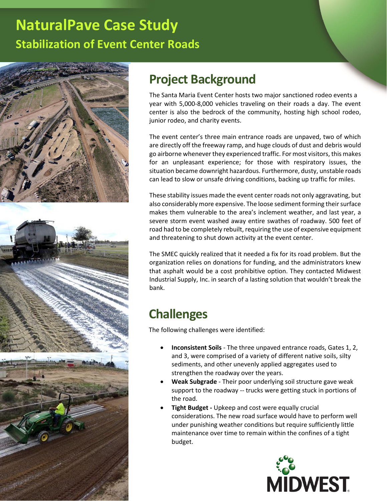



### **Project Background**

The Santa Maria Event Center hosts two major sanctioned rodeo events a year with 5,000-8,000 vehicles traveling on their roads a day. The event center is also the bedrock of the community, hosting high school rodeo, junior rodeo, and charity events.

The event center's three main entrance roads are unpaved, two of which are directly off the freeway ramp, and huge clouds of dust and debris would go airborne whenever they experienced traffic. For most visitors, this makes for an unpleasant experience; for those with respiratory issues, the situation became downright hazardous. Furthermore, dusty, unstable roads can lead to slow or unsafe driving conditions, backing up traffic for miles.

These stability issues made the event center roads not only aggravating, but also considerably more expensive. The loose sediment forming their surface makes them vulnerable to the area's inclement weather, and last year, a severe storm event washed away entire swathes of roadway. 500 feet of road had to be completely rebuilt, requiring the use of expensive equipment and threatening to shut down activity at the event center.

The SMEC quickly realized that it needed a fix for its road problem. But the organization relies on donations for funding, and the administrators knew that asphalt would be a cost prohibitive option. They contacted Midwest Industrial Supply, Inc. in search of a lasting solution that wouldn't break the bank.

### **Challenges**

The following challenges were identified:

- **Inconsistent Soils** The three unpaved entrance roads, Gates 1, 2, and 3, were comprised of a variety of different native soils, silty sediments, and other unevenly applied aggregates used to strengthen the roadway over the years.
- **Weak Subgrade** Their poor underlying soil structure gave weak support to the roadway -- trucks were getting stuck in portions of the road.
- **Tight Budget -** Upkeep and cost were equally crucial considerations. The new road surface would have to perform well under punishing weather conditions but require sufficiently little maintenance over time to remain within the confines of a tight budget.

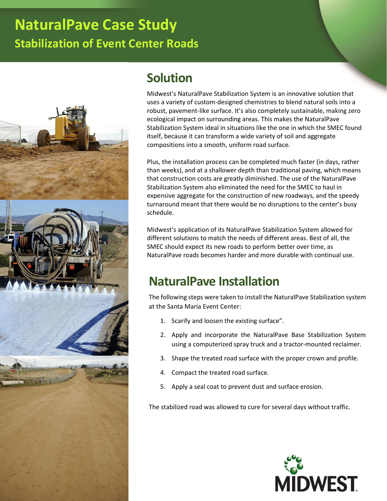

#### **Solution**

Midwest's NaturalPave Stabilization System is an innovative solution that uses a variety of custom-designed chemistries to blend natural soils into a robust, pavement-like surface. It's also completely sustainable, making zero ecological impact on surrounding areas. This makes the NaturalPave Stabilization System ideal in situations like the one in which the SMEC found itself, because it can transform a wide variety of soil and aggregate compositions into a smooth, uniform road surface.

Plus, the installation process can be completed much faster (in days, rather than weeks), and at a shallower depth than traditional paving, which means that construction costs are greatly diminished. The use of the NaturalPave Stabilization System also eliminated the need for the SMEC to haul in expensive aggregate for the construction of new roadways, and the speedy turnaround meant that there would be no disruptions to the center's busy schedule.

Midwest's application of its NaturalPave Stabilization System allowed for different solutions to match the needs of different areas. Best of all, the SMEC should expect its new roads to perform better over time, as NaturalPave roads becomes harder and more durable with continual use.

### **NaturalPave Installation**

The following steps were taken to install the NaturalPave Stabilization system at the Santa Maria Event Center:

- 1. Scarify and loosen the existing surface".
- 2. Apply and incorporate the NaturalPave Base Stabilization System using a computerized spray truck and a tractor-mounted reclaimer.
- 3. Shape the treated road surface with the proper crown and profile.
- 4. Compact the treated road surface.
- 5. Apply a seal coat to prevent dust and surface erosion.

The stabilized road was allowed to cure for several days without traffic.

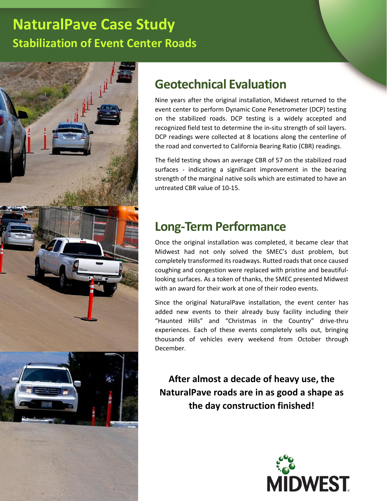

#### **Geotechnical Evaluation**

Nine years after the original installation, Midwest returned to the event center to perform Dynamic Cone Penetrometer (DCP) testing on the stabilized roads. DCP testing is a widely accepted and recognized field test to determine the in-situ strength of soil layers. DCP readings were collected at 8 locations along the centerline of the road and converted to California Bearing Ratio (CBR) readings.

The field testing shows an average CBR of 57 on the stabilized road surfaces - indicating a significant improvement in the bearing strength of the marginal native soils which are estimated to have an untreated CBR value of 10-15.

#### **Long-Term Performance**

Once the original installation was completed, it became clear that Midwest had not only solved the SMEC's dust problem, but completely transformed its roadways. Rutted roads that once caused coughing and congestion were replaced with pristine and beautifullooking surfaces. As a token of thanks, the SMEC presented Midwest with an award for their work at one of their rodeo events.

Since the original NaturalPave installation, the event center has added new events to their already busy facility including their "Haunted Hills" and "Christmas in the Country" drive-thru experiences. Each of these events completely sells out, bringing thousands of vehicles every weekend from October through December.

**After almost a decade of heavy use, the NaturalPave roads are in as good a shape as the day construction finished!**